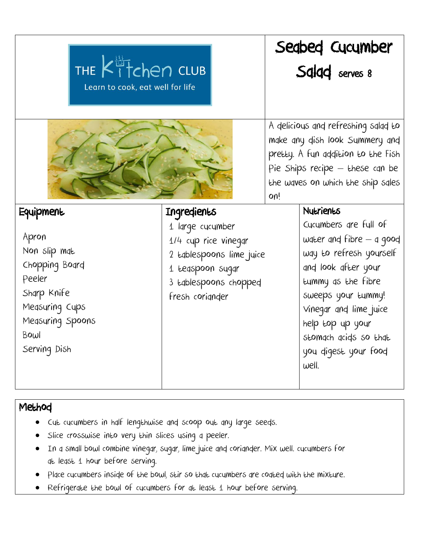| THE Kitchen CLUB<br>Learn to cook, eat well for life                                                                           |                                                                                                                                      | Seabed Cucumber<br>Salad serves 8                                                                                                                                                          |                                                                                                                                                                                                                                                         |
|--------------------------------------------------------------------------------------------------------------------------------|--------------------------------------------------------------------------------------------------------------------------------------|--------------------------------------------------------------------------------------------------------------------------------------------------------------------------------------------|---------------------------------------------------------------------------------------------------------------------------------------------------------------------------------------------------------------------------------------------------------|
|                                                                                                                                |                                                                                                                                      | A delicious and refreshing salad to<br>make any dish look Summery and<br>pretty. A fun addition to the Fish<br>Pie Ships recipe - these can be<br>the waves on which the ship sales<br>on! |                                                                                                                                                                                                                                                         |
| Equipment                                                                                                                      | Ingredients                                                                                                                          |                                                                                                                                                                                            | Nutrients                                                                                                                                                                                                                                               |
| Apron<br>Non slip mat<br>Chopping Board<br>Peeler<br>Sharp Knife<br>Measuring Cups<br>Measuring Spoons<br>Bowl<br>Serving Dish | 1 large cucumber<br>1/4 cup rice vinegar<br>2 tablespoons lime juice<br>1 teaspoon sugar<br>3 Edblespoons chopped<br>fresh corignder |                                                                                                                                                                                            | Cucumbers are full of<br>water and fibre - a good<br>way to refresh yourself<br>and look after your<br>tummy as the fibre<br>sweeps your tummy!<br>Vinegar and lime juice<br>help top up your<br>stomach acids so that<br>you digest your food<br>well. |

## Method

- Cut cucumbers in half lengthwise and scoop out any large seeds.
- Slice crosswise into very thin slices using a peeler.
- In a small bowl combine vinegar, sugar, lime juice and coriander. Mix well. cucumbers for at least 1 hour before serving.
- Place cucumbers inside of the bowl, stir so that cucumbers are coated with the mixture.
- Refrigerate the bowl of cucumbers for at least 1 hour before serving.